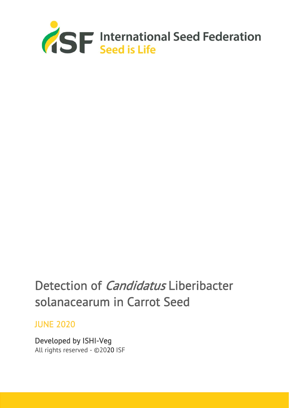

# Detection of *Candidatus* Liberibacter solanacearum in Carrot Seed

# JUNE 2020

Developed by ISHI-Veg All rights reserved - ©2020 ISF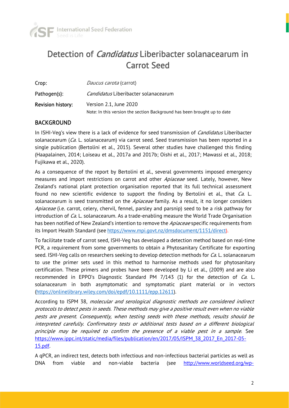

# Detection of *Candidatus* Liberibacter solanacearum in Carrot Seed

| Crop:                    | <i>Daucus carota</i> (carrot)                                            |
|--------------------------|--------------------------------------------------------------------------|
| Pathogen(s):             | <i>Candidatus</i> Liberibacter solanacearum                              |
| <b>Revision history:</b> | Version 2.1, June 2020                                                   |
|                          | Note: In this version the section Background has been brought up to date |

# BACKGROUND

In ISHI-Veg's view there is a lack of evidence for seed transmission of *Candidatus* Liberibacter solanacearum ( $Ca$ . L. solanacearum) via carrot seed. Seed transmission has been reported in a single publication (Bertolini et al., 2015). Several other studies have challenged this finding (Haapalainen, 2014; Loiseau et al., 2017a and 2017b; Oishi et al., 2017; Mawassi et al., 2018; Fujikawa et al., 2020).

As a consequence of the report by Bertolini et al., several governments imposed emergency measures and import restrictions on carrot and other *Apiaceae* seed. Lately, however, New Zealand's national plant protection organisation reported that its full technical assessment found no new scientific evidence to support the finding by Bertolini et al., that  $Ca$ . L. solanacearum is seed transmitted on the Apiaceae family. As a result, it no longer considers Apiaceae (i.e. carrot, celery, chervil, fennel, parsley and parsnip) seed to be a risk pathway for introduction of Ca. L. solanacearum. As a trade-enabling measure the World Trade Organisation has been notified of New Zealand's intention to remove the *Apiaceae* specific requirements from its Import Health Standard (see https://www.mpi.govt.nz/dmsdocument/1151/direct).

To facilitate trade of carrot seed, ISHI-Veg has developed a detection method based on real-time PCR, a requirement from some governments to obtain a Phytosanitary Certificate for exporting seed. ISHI-Veg calls on researchers seeking to develop detection methods for *Ca*. L. solanacearum to use the primer sets used in this method to harmonise methods used for phytosanitary certification. These primers and probes have been developed by Li et al., (2009) and are also recommended in EPPO's Diagnostic Standard PM  $7/143$  (1) for the detection of *Ca*. L. solanacearum in both asymptomatic and symptomatic plant material or in vectors (https://onlinelibrary.wiley.com/doi/epdf/10.1111/epp.12611).

According to ISPM 38, molecular and serological diagnostic methods are considered indirect protocols to detect pests in seeds. These methods may give a positive result even when no viable pests are present. Consequently, when testing seeds with these methods, results should be interpreted carefully. Confirmatory tests or additional tests based on a different biological principle may be required to confirm the presence of a viable pest in a sample. See https://www.ippc.int/static/media/files/publication/en/2017/05/ISPM\_38\_2017\_En\_2017-05- 15.pdf.

A qPCR, an indirect test, detects both infectious and non-infectious bacterial particles as well as DNA from viable and non-viable bacteria (see http://www.worldseed.org/wp-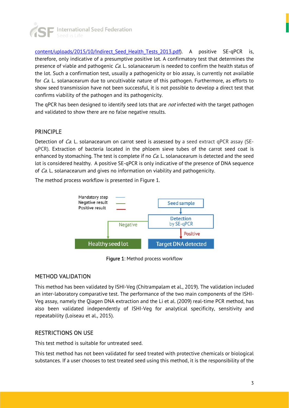

content/uploads/2015/10/Indirect\_Seed\_Health\_Tests\_2013.pdf). A positive SE-qPCR is, therefore, only indicative of a presumptive positive lot. A confirmatory test that determines the presence of viable and pathogenic *Ca*. L. solanacearum is needed to confirm the health status of the lot. Such a confirmation test, usually a pathogenicity or bio assay, is currently not available for *Ca*. L. solanacearum due to uncultivable nature of this pathogen. Furthermore, as efforts to show seed transmission have not been successful, it is not possible to develop a direct test that confirms viability of the pathogen and its pathogenicity.

The qPCR has been designed to identify seed lots that are *not* infected with the target pathogen and validated to show there are no false negative results.

# PRINCIPLE

Detection of  $Ca$ . L. solanacearum on carrot seed is assessed by a seed extract  $qPCR$  assay (SEqPCR). Extraction of bacteria located in the phloem sieve tubes of the carrot seed coat is enhanced by stomaching. The test is complete if no *Ca*. L. solanacearum is detected and the seed lot is considered healthy. A positive SE-qPCR is only indicative of the presence of DNA sequence of *Ca*. L. solanacearum and gives no information on viability and pathogenicity.

The method process workflow is presented in Figure 1.



Figure 1: Method process workflow

### METHOD VALIDATION

This method has been validated by ISHI-Veg (Chitrampalam et al., 2019). The validation included an inter-laboratory comparative test. The performance of the two main components of the ISHI-Veg assay, namely the Qiagen DNA extraction and the Li et al. (2009) real-time PCR method, has also been validated independently of ISHI-Veg for analytical specificity, sensitivity and repeatability (Loiseau et al., 2015).

### RESTRICTIONS ON USE

This test method is suitable for untreated seed.

This test method has not been validated for seed treated with protective chemicals or biological substances. If a user chooses to test treated seed using this method, it is the responsibility of the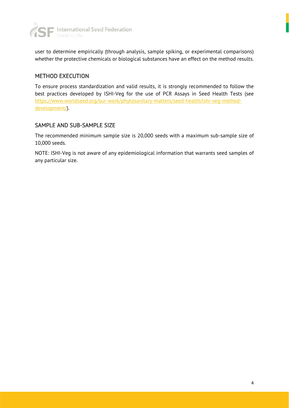

user to determine empirically (through analysis, sample spiking, or experimental comparisons) whether the protective chemicals or biological substances have an effect on the method results.

## METHOD EXECUTION

To ensure process standardization and valid results, it is strongly recommended to follow the best practices developed by ISHI-Veg for the use of PCR Assays in Seed Health Tests (see https://www.worldseed.org/our-work/phytosanitary-matters/seed-health/ishi-veg-methoddevelopment/).

# SAMPLE AND SUB-SAMPLE SIZE

The recommended minimum sample size is 20,000 seeds with a maximum sub-sample size of 10,000 seeds.

NOTE: ISHI-Veg is not aware of any epidemiological information that warrants seed samples of any particular size.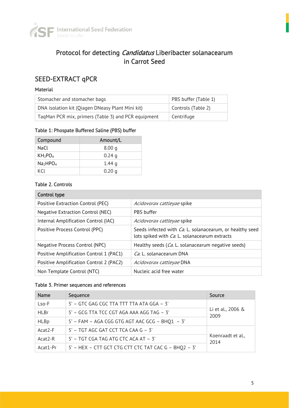

# Protocol for detecting *Candidatus* Liberibacter solanacearum in Carrot Seed

# SEED-EXTRACT qPCR

#### Material

| Stomacher and stomacher bags                        | PBS buffer (Table 1) |
|-----------------------------------------------------|----------------------|
| DNA isolation kit (Qiagen DNeasy Plant Mini kit)    | Controls (Table 2)   |
| TaqMan PCR mix, primers (Table 3) and PCR equipment | Centrifuge           |

### Table 1: Phospate Buffered Saline (PBS) buffer

| Compound                         | Amount/L |
|----------------------------------|----------|
| NaCl                             | 8.00q    |
| KH <sub>2</sub> PO <sub>4</sub>  | 0.24q    |
| Na <sub>2</sub> HPO <sub>4</sub> | 1.44 g   |
| KCL                              | 0.20q    |

### Table 2. Controls

| Control type                            |                                                                                                                           |
|-----------------------------------------|---------------------------------------------------------------------------------------------------------------------------|
| Positive Extraction Control (PEC)       | Acidovorax cattleyae spike                                                                                                |
| Negative Extraction Control (NEC)       | <b>PBS</b> buffer                                                                                                         |
| Internal Amplification Control (IAC)    | Acidovorax cattleyae spike                                                                                                |
| Positive Process Control (PPC)          | Seeds infected with <i>Ca</i> . L. solanacearum, or healthy seed<br>lots spiked with <i>Ca</i> . L. solanacearum extracts |
| Negative Process Control (NPC)          | Healthy seeds (Ca. L. solanacearum negative seeds)                                                                        |
| Positive Amplification Control 1 (PAC1) | Ca. L. solanacearum DNA                                                                                                   |
| Positive Amplification Control 2 (PAC2) | <i>Acidovorax cattleyae</i> DNA                                                                                           |
| Non Template Control (NTC)              | Nucleic acid free water                                                                                                   |

#### Table 3. Primer sequences and references

| <b>Name</b> | Sequence                                             | Source                    |
|-------------|------------------------------------------------------|---------------------------|
| Lso-F       | 5' - GTC GAG CGC TTA TTT TTA ATA GGA - 3'            |                           |
| <b>HLBr</b> | 5' - GCG TTA TCC CGT AGA AAA AGG TAG - 3'            | Li et al., 2006 &<br>2009 |
| <b>HLBp</b> | 5' - FAM - AGA CGG GTG AGT AAC GCG - BHO1 - 3'       |                           |
| $Acat2-F$   | $5'$ – TGT AGC GAT CCT TCA CAA G – 3'                |                           |
| Acat2-R     | $5'$ – TGT CGA TAG ATG CTC ACA AT – 3'               | Koenraadt et al.,<br>2014 |
| Acat1-Pr    | 5' - HEX - CTT GCT CTG CTT CTC TAT CAC G - BHQ2 - 3' |                           |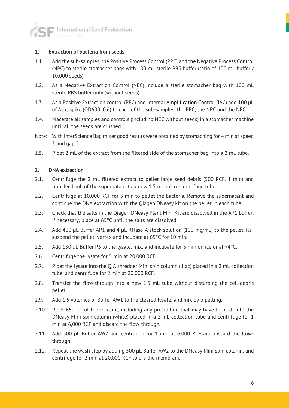

#### 1. Extraction of bacteria from seeds

- 1.1. Add the sub-samples, the Positive Process Control (PPC) and the Negative Process Control (NPC) to sterile stomacher bags with 100 mL sterile PBS buffer (ratio of 100 mL buffer / 10,000 seeds)
- 1.2. As a Negative Extraction Control (NEC) include a sterile stomacher bag with 100 mL sterile PBS buffer only (without seeds)
- 1.3. As a Positive Extraction control (PEC) and Internal Amplification Control (IAC) add 100 μL of Acat spike (OD600=0.6) to each of the sub-samples, the PPC, the NPC and the NEC
- 1.4. Macerate all samples and controls (including NEC without seeds) in a stomacher machine until all the seeds are crushed
- Note: With InterScience Bag mixer good results were obtained by stomaching for 4 min at speed 3 and gap 5
- 1.5. Pipet 2 mL of the extract from the filtered side of the stomacher bag into a 2 mL tube.

#### 2. DNA extraction

- 2.1. Centrifuge the 2 mL filtered extract to pellet large seed debris (500 RCF, 1 min) and transfer 1 mL of the supernatant to a new 1.5 mL micro-centrifuge tube.
- 2.2. Centrifuge at 10,000 RCF for 5 min to pellet the bacteria. Remove the supernatant and continue the DNA extraction with the Qiagen DNeasy kit on the pellet in each tube.
- 2.3. Check that the salts in the Qiagen DNeasy Plant Mini Kit are dissolved in the AP1 buffer, if necessary, place at 65°C until the salts are dissolved.
- 2.4. Add 400 μL Buffer AP1 and 4 μL RNase-A stock solution (100 mg/mL) to the pellet. Resuspend the pellet, vortex and incubate at 65°C for 10 min.
- 2.5. Add 130 μL Buffer P3 to the lysate, mix, and incubate for 5 min on ice or at +4 °C.
- 2.6. Centrifuge the lysate for 5 min at 20,000 RCF.
- 2.7. Pipet the lysate into the QIA shredder Mini spin column (lilac) placed in a 2 mL collection tube, and centrifuge for 2 min at 20,000 RCF.
- 2.8. Transfer the flow-through into a new 1.5 mL tube without disturbing the cell-debris pellet.
- 2.9. Add 1.5 volumes of Buffer AW1 to the cleared lysate, and mix by pipetting.
- 2.10. Pipet 650 μL of the mixture, including any precipitate that may have formed, into the DNeasy Mini spin column (white) placed in a 2 mL collection tube and centrifuge for 1 min at 6,000 RCF and discard the flow-through.
- 2.11. Add 500 μL Buffer AW2 and centrifuge for 1 min at 6,000 RCF and discard the flowthrough.
- 2.12. Repeat the wash step by adding 500 μL Buffer AW2 to the DNeasy Mini spin column, and centrifuge for 2 min at 20,000 RCF to dry the membrane.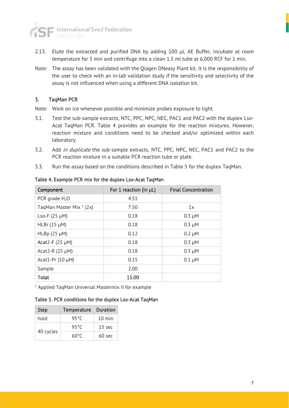

- 2.13. Elute the extracted and purified DNA by adding 100 μL AE Buffer, incubate at room temperature for 5 min and centrifuge into a clean 1.5 ml tube at 6,000 RCF for 1 min.
- Note: The assay has been validated with the Qiagen DNeasy Plant kit. It is the responsibility of the user to check with an in-lab validation study if the sensitivity and selectivity of the assay is not influenced when using a different DNA isolation kit.

### 3. TaqMan PCR

Note: Work on ice whenever possible and minimize probes exposure to light.

- 3.1. Test the sub-sample extracts, NTC, PPC, NPC, NEC, PAC1 and PAC2 with the duplex Lso-Acat TaqMan PCR. Table 4 provides an example for the reaction mixtures. However, reaction mixture and conditions need to be checked and/or optimized within each laboratory.
- 3.2. Add in duplicate the sub-sample extracts, NTC, PPC, NPC, NEC, PAC1 and PAC2 to the PCR reaction mixture in a suitable PCR reaction tube or plate.
- 3.3. Run the assay based on the conditions described in Table 5 for the duplex TaqMan.

| Component                 | For 1 reaction (in µL) | <b>Final Concentration</b> |
|---------------------------|------------------------|----------------------------|
| PCR grade $H_2O$          | 4.51                   |                            |
| TaqMan Master Mix $1(2x)$ | 7.50                   | 1x                         |
| Lso-F $(25 \mu M)$        | 0.18                   | $0.3 \mu M$                |
| HLBr $(25 \mu M)$         | 0.18                   | $0.3 \mu M$                |
| $HLBp$ (25 $\mu$ M)       | 0.12                   | $0.2 \mu M$                |
| Acat2-F $(25 \mu M)$      | 0.18                   | $0.3 \mu M$                |
| Acat2-R $(25 \mu M)$      | 0.18                   | $0.3 \mu M$                |
| Acat1-Pr $(10 \mu M)$     | 0.15                   | $0.1 \mu M$                |
| Sample                    | 2.00                   |                            |
| <b>Total</b>              | 15.00                  |                            |

Table 4. Example PCR mix for the duplex Lso-Acat TaqMan

1 Applied TaqMan Universal Mastermix II for example

Table 5. PCR conditions for the duplex Lso-Acat TaqMan

| <b>Step</b> | Temperature | <b>Duration</b>  |
|-------------|-------------|------------------|
| hold        | 95°C        | $10 \text{ min}$ |
| 40 cycles   | 95°C        | $15 \text{ sec}$ |
|             | 60°C        | $60$ sec         |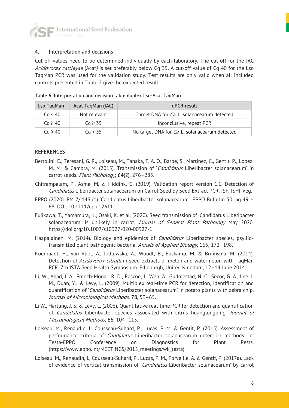

#### 4. Interpretation and decisions

Cut-off values need to be determined individually by each laboratory. The cut-off for the IAC Acidovorax cattleyae (Acat) is set preferably below Cq 35. A cut-off value of Cq 40 for the Lso TaqMan PCR was used for the validation study. Test results are only valid when all included controls presented in Table 2 give the expected result.

| Lso TaqMan   | Acat TaqMan (IAC) | qPCR result                                            |
|--------------|-------------------|--------------------------------------------------------|
| Cq < 40      | Not relevant      | Target DNA for <i>Ca</i> . L. solanacearum detected    |
| $Cq \ge 40$  | $Ca \geqslant 35$ | Inconclusive, repeat PCR                               |
| $Ca \geq 40$ | Cq < 35           | No target DNA for <i>Ca</i> . L. solanacearum detected |

#### Table 6. Interpretation and decision table duplex Lso-Acat TaqMan

#### **REFERENCES**

- Bertolini, E., Teresani, G. R., Loiseau, M., Tanaka, F. A. O., Barbé, S., Martínez, C., Gentit, P., López, M. M. & Cambra, M. (2015). Transmission of 'Candidatus Liberibacter solanacearum' in carrot seeds. Plant Pathology, 64(2), 276-285.
- Chitrampalam, P., Asma, M. & Hiddink, G. (2019). Validation report version 1.1. Detection of Candidatus Liberibacter solanacearum on Carrot Seed by Seed Extract PCR. ISF, ISHI-Veg.
- EPPO (2020). PM 7/ 143 (1) 'Candidatus Liberibacter solanacearum'. EPPO Bulletin 50, pg 49 68. DOI: 10.1111/epp.12611
- Fujikawa, T., Yamamura, K., Osaki, K. et al. (2020). Seed transmission of 'Candidatus Liberibacter solanacearum' is unlikely in carrot. Journal of General Plant Pathology May 2020. https://doi.org/10.1007/s10327-020-00927-1
- Haapalainen, M. (2014). Biology and epidemics of *Candidatus* Liberibacter species, psyllidtransmitted plant-pathogenic bacteria. Annals of Applied Biology, 165, 172-198.
- Koenraadt, H., van Vliet, A., Jodlowska, A., Woudt, B., Ebskamp, M. & Bruinsma, M. (2014). Detection of Acidovorax citrulli in seed extracts of melon and watermelon with TaqMan PCR. 7th ISTA Seed Health Symposium. Edinburgh, United Kingdom, 12–14 June 2014.
- Li, W., Abad, J. A., French-Monar, R. D., Rascoe, J., Wen, A., Gudmestad, N. C., Secor, G. A., Lee, I. M., Duan, Y., & Levy, L. (2009). Multiplex real-time PCR for detection, identification and quantification of 'Candidatus Liberibacter solanacearum' in potato plants with zebra chip. Journal of Microbiological Methods, 78, 59–65.
- Li W., Hartung, J. S. & Levy, L. (2006). Quantitative real-time PCR for detection and quantification of *Candidatus* Liberibacter species associated with citrus huanglongbing. Journal of Microbiological Methods, 66, 104–115.
- Loiseau, M., Renaudin, I., Cousseau-Suhard, P., Lucas, P. M. & Gentit, P. (2015). Assessment of performance criteria of *Candidatus* Liberibacter solanacearum detection methods. In: Testa-EPPO Conference on Diagnostics for Plant Pests. (https://www.eppo.int/MEETINGS/2015 meetings/wk testa).
- Loiseau, M., Renaudin, I., Cousseau-Suhard, P., Lucas, P. M., Forveille, A. & Gentit, P. (2017a). Lack of evidence of vertical transmission of 'Candidatus Liberibacter solanacearum' by carrot